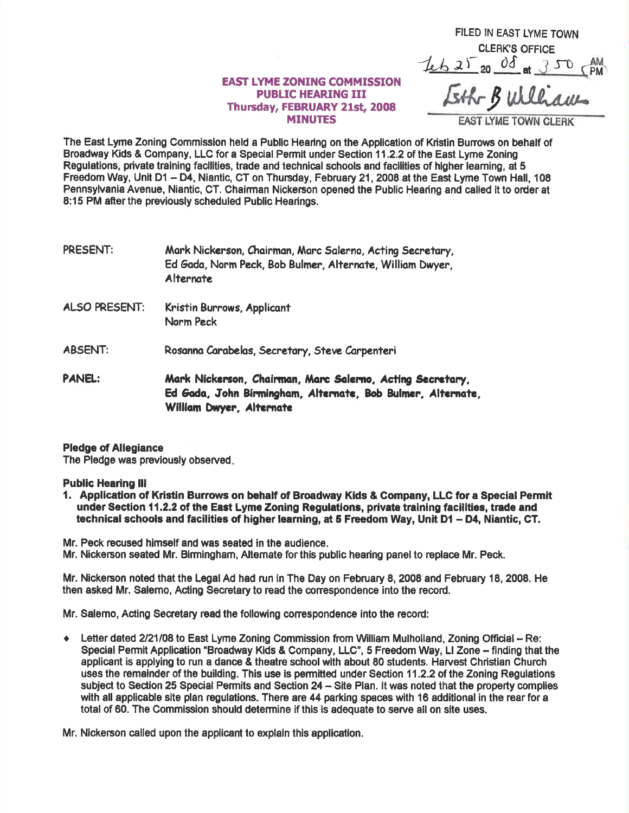## EAST LYME ZONING COMMTSSION PUBLIC HEARING III Thursday, FEBRUARY 21st, 2008 MINUTES

FILED IN EAST LYME TOWN CLERK'S OFFICE  $7.6252008$  at 350 PM Eth Bulliam

**AST LYME TOWN CI** 

The East Lyme Zoning Commisslon held a Publlc Hearing on the Appllcation of Kristin Bunows on behalf of Broadway Kids & Company, LLC for a Special Permit under Section 11.2.2 of the East Lyme Zoning Regulations, private training facilities, trade and technical schools and facilities of higher learning, at 5 Freedom Way, Unit D1 - D4, Niantic, CT on Thursday, February 21, 2008 at the East Lyme Town Hall, 108 Pennsylvania Avenue, Niantic, CT. Chalrman Nickerson opened the Public Hearing and called it to order at 8:15 PM after the previously scheduled Public Hearings.

PRESENT: Mark Nickerson, Chairman, Marc Salerno, Acting Secretary, Ed Gada, Norm Peck, Bob Bulmer, Alternate, William Dwyer. **Alternate** 

- ALSO PRESENT: Kristin Burrows, Applicont Norm Peck
- ABSENT: Rosanna Carabelas, Secretary, Steve Carpenteri

PANEL: Mark Nickerson, Chairman, Marc Salerno, Acting Secretary, Ed Gada, John Birmingham, Alternate, Bob Bulmer, Alternate, William Dwyer, Alternate

## Pledge of Allegiance

The Pledge was prevlously observed

## Public Hearing lll

1. Application of Ktistin Burrows on behalf of Broadway Kids & Company, LLG for a Special Permit under Section 11.2.2 of the East Lyme Zoning Regulations, private training facilities, trade and technical schools and facilities of higher learning, at 5 Freedom Way, Unit D1 - D4, Niantic, CT.

Mr. Peck recused himself and was seated in the eudlence.

Mr. Nickerson seated Mr. Birmingham, Alternate for this public hearing panel to replace Mr. Peck.

Mr. Nickerson noted that the Legal Ad had run in The Day on February 8, 2008 and February 18, 2008. He then asked Mr. Salemo, Ac'ting Secretary to read the conespondence into the record.

Mr, Salemo, Acling Seoretary read the following conespondence into the record:

◆ Letter dated 2/21/08 to East Lyme Zoning Commission from William Mulholland, Zoning Official - Re: Special Permit Application "Broadway Kids & Company, LLC", 5 Freedom Way, LI Zone - finding that the applicant is applying to run a dance & theatre school with about 80 students. Harvest Christian Church uses the remalnder of the building. This use is permitted under Section 11.2.2 of the Zoning Regulations subject to Section 25 Special Permits and Section 24 - Site Plan. It was noted that the property complies with all applicable slte plan regulations. There are 44 parking spaces with 16 additional in the rear for a total of 60. The Commission should determine if this is adequate to serve all on site uses.

Mr. Nickerson called upon the applicant to explain this application.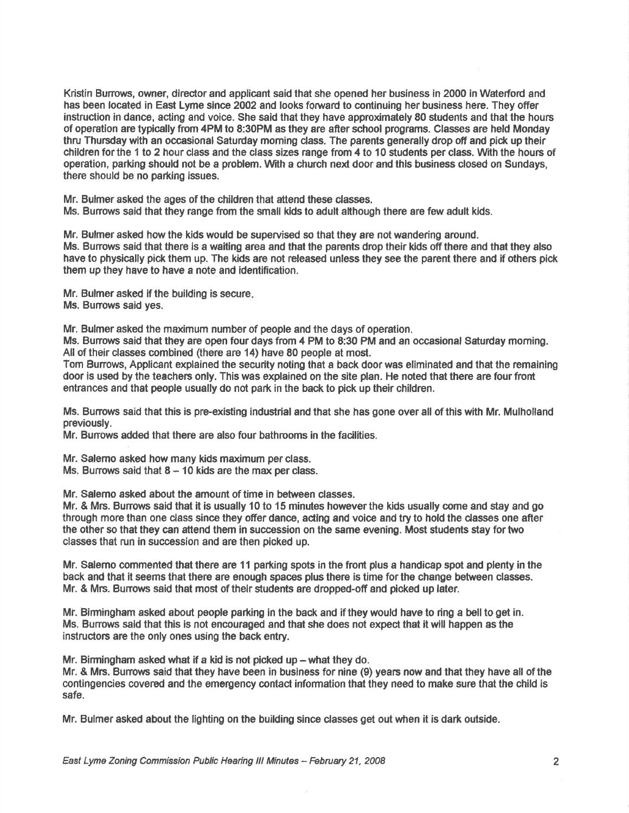Kristin Burrows, owner, director and applicant said that she opened her business in 2000 in Waterford and has been located in East Lyme slnce 2002 and looks forward to continuing her business here. They offer instruction in dance, acting and voice. She said that they have approximately 80 students and that the hours of operation are typically from 4PM to 8:30PM as they are afier school programs. Classes are held Monday thru Thursday wlth an occasional Saturday moming class. The parents generally drop off and pick up their children for the 1 to 2 hour dass and the class sizes range from 4 to 10 students per class. Wth the hours of operation, parking should not be a problem. With a church next door and thls business closed on Sundays, there should be no parking issues.

Mr. Bulmer asked the ages of the children that attend these classes. Ms. Burrows said that they range from the small kids to adult although there are few adult kids.

Mr. Bulmer asked how the kids would be supervised so that they are not wandering around. Ms. Burrows said that there is a waiting area and that the parents drop their kids offthere and that they also have to physically pick them up. The kids are not released unless they see the parent there and if others pick them up they have to have a note and identification.

Mr. Bulmer asked if the building is secure. Ms. Burrows said yes.

Mr. Bulmer asked the maximum number of people and the days of operation.

Ms. Burrows said that they are open four days from 4 PM to 8:30 PM and an occasional Saturday morning. All of their classes combined (there are 14) have 80 people at most.

Tom Burrows, Applicant explained the security noting that a back door was eliminated and that the remaining door is used by the teachers only. This was explained on the site plan. He noted that there are four front entrances and that people usually do not park in the back to pick up their children.

Ms. Bunows said that this is pre-existing industrial and that she has gone over all of this with Mr. Mulholland previously.

Mr. Burrows added that there are also four bathrooms in the facilities.

Mr. Salemo asked how many kids maximum per class.

Ms. Burrows said that  $8 - 10$  kids are the max per class.

Mr. Salerno asked about the amount of time in between classes.

Mr. & Mrs. Bunows said that it is usually 10 to 15 minutes howeverthe kids usually come and stay and go through more than one class since they offer dance, acting and voice and try to hold the classes one after the other so that they can attend them in succession on the same evening. Most students stay fortwo classes that run in succession and are then picked up.

Mr. Salemo commented that there are 11 parking spots in the front plus a handicap spot and plenty in the back and that it seems that there are enough spacos plus there is time forthe change between classes. Mr. & Mrs. Bunows said that most of thelr students are dropped-off and pioked up later.

Mr. Birmingham asked about people parking in the back and if they would have to ring a bell to get in. Ms. Burrows said that this is not encouraged and that she does not expect that it will happen as the instructors are the only ones using the back entry.

Mr. Birmingham asked what if a kid is not picked up  $-$  what they do.

Mr. & Mrs. Burrows said that they have been in business for nine (9) years now and that they have all of the contingencies covened and the emergency contact information that they need to make sure that the child is safe.

Mr. Bulmer asked about the lighting on the building since classes get out when it is dark outside.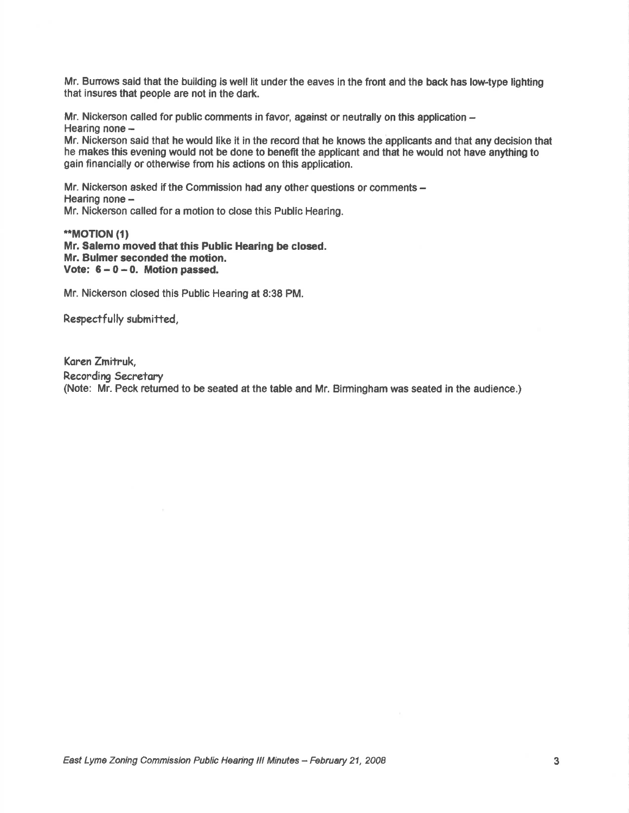Mr. Burrows said that the building is well lit under the eaves in the front and the back has low-type lighting that insures that people are not in the dark.

Mr. Nickerson called for public comments in favor, against or neutrally on this application  $-$ Hearing none -

Mr. Nickerson said that he would like it in the record that he knows the applicants and that any decision that he makes this evening would not be done to benefit the applicant and that he would not have anything to gain financially or otherwise from his astions on this application.

Mr. Nickerson asked if the Commission had any other questions or comments -Hearing none -Mr. Nickerson called for a motion to close this Public Hearing.

\*\*MOT|ON (t) Mr. Salemo moved that this Public Hearing be closed. Mr. Bulmer seconded the motion. Vote:  $6 - 0 - 0$ . Motion passed.

Mr. Nickerson closed this Public Hearing at 8:38 PM.

Respectfully submitted,

Koren Zmitruk, Recording Secretary (Note: Mr. Peck retumed to be seated at the table and Mr. Birmingham was seated in the audience,)